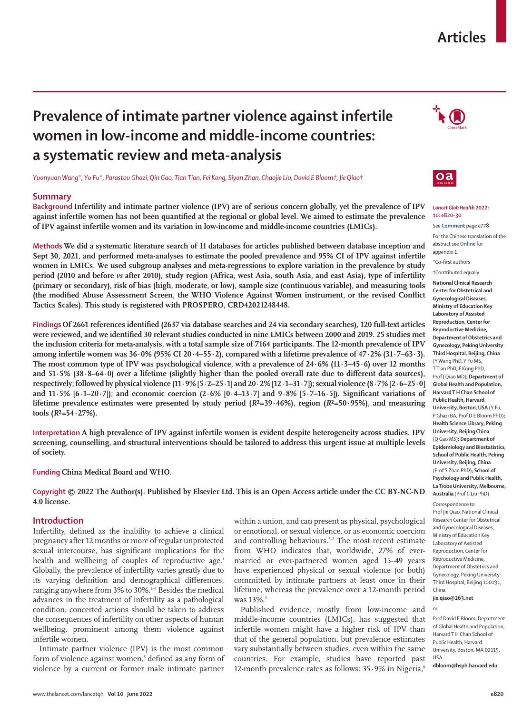# **Articles**

# **Prevalence of intimate partner violence against infertile women in low-income and middle-income countries: a systematic review and meta-analysis**

*Yuanyuan Wang\*, Yu Fu\*, Parastou Ghazi, Qin Gao, Tian Tian, Fei Kong, Siyan Zhan, Chaojie Liu, David E Bloom†, Jie Qiao†*

## **Summary**

**Background Infertility and intimate partner violence (IPV) are of serious concern globally, yet the prevalence of IPV against infertile women has not been quantified at the regional or global level. We aimed to estimate the prevalence of IPV against infertile women and its variation in low-income and middle-income countries (LMICs).**

**Methods We did a systematic literature search of 11 databases for articles published between database inception and Sept 30, 2021, and performed meta-analyses to estimate the pooled prevalence and 95% CI of IPV against infertile women in LMICs. We used subgroup analyses and meta-regressions to explore variation in the prevalence by study period (2010 and before** *vs* **after 2010), study region (Africa, west Asia, south Asia, and east Asia), type of infertility (primary or secondary), risk of bias (high, moderate, or low), sample size (continuous variable), and measuring tools (the modified Abuse Assessment Screen, the WHO Violence Against Women instrument, or the revised Conflict Tactics Scales). This study is registered with PROSPERO, CRD42021248448.**





#### *Lancet Glob Health* **2022; 10: e820–30**

See **Comment** page e778

For the Chinese translation of the abstract see **Online** for appendix 1

\*Co-first authors

†Contributed equally **National Clinical Research Center for Obstetrical and Gynecological Diseases, Ministry of Education Key Laboratory of Assisted Reproduction, Center for Reproductive Medicine, Department of Obstetrics and Gynecology, Peking University Third Hospital, Beijing, China** (Y Wang PhD, Y Fu MS, T Tian PhD, F Kong PhD, Prof J Qiao MD)**; Department of Global Health and Population, Harvard T H Chan School of Public Health, Harvard University, Boston, USA** (Y Fu, P Ghazi BA, Prof D E Bloom PhD)**; Health Science Library, Peking University, Beijing China** (Q Gao MS)**; Department of Epidemiology and Biostatistics, School of Public Health, Peking University, Beijing, China** (Prof S Zhan PhD)**; School of Psychology and Public Health, La Trobe University, Melbourne, Australia** (Prof C Liu PhD)

Correspondence to: Prof Jie Qiao, National Clinical Research Center for Obstetrical and Gynecological Diseases, Ministry of Education Key Laboratory of Assisted Reproduction, Center for Reproductive Medicine, Department of Obstetrics and Gynecology, Peking University Third Hospital, Beijing 100191, China

**jie.qiao@263.net**

or

Prof David E Bloom, Department of Global Health and Population, Harvard T H Chan School of Public Health, Harvard University, Boston, MA 02115, USA

**dbloom@hsph.harvard.edu**

**Findings Of 2661 references identified (2637 via database searches and 24 via secondary searches), 120 full-text articles were reviewed, and we identified 30 relevant studies conducted in nine LMICs between 2000 and 2019. 25 studies met the inclusion criteria for meta-analysis, with a total sample size of 7164 participants. The 12-month prevalence of IPV among infertile women was 36·0% (95% CI 20·4–55·2), compared with a lifetime prevalence of 47·2% (31·7–63·3). The most common type of IPV was psychological violence, with a prevalence of 24·6% (11·3–45·6) over 12 months**  and 51·5% (38·8–64·0) over a lifetime (slightly higher than the pooled overall rate due to different data sources), **respectively; followed by physical violence (11·9% [5·2–25·1] and 20·2% [12·1–31·7]); sexual violence (8·7% [2·6–25·0] and 11·5% [6·1–20·7]); and economic coercion (2·6% [0·4–13·7] and 9·8% [5·7–16·5]). Significant variations of**  lifetime prevalence estimates were presented by study period  $(R^2=39.46\%)$ , region  $(R^2=50.95\%)$ , and measuring

**Interpretation A high prevalence of IPV against infertile women is evident despite heterogeneity across studies. IPV screening, counselling, and structural interventions should be tailored to address this urgent issue at multiple levels of society.**

**Funding China Medical Board and WHO.**

**Copyright © 2022 The Author(s). Published by Elsevier Ltd. This is an Open Access article under the CC BY-NC-ND 4.0 license.** 

## **Introduction**

 $\text{tools}$  ( $R^2 = 54.27\%$ ).

Infertility, defined as the inability to achieve a clinical pregnancy after 12 months or more of regular unprotected sexual intercourse, has significant implications for the health and wellbeing of couples of reproductive age.<sup>1</sup> Globally, the prevalence of infertility varies greatly due to its varying definition and demographical differences, ranging anywhere from 3% to 30%.<sup>2-4</sup> Besides the medical advances in the treatment of infertility as a pathological condition, concerted actions should be taken to address the consequences of infertility on other aspects of human wellbeing, prominent among them violence against infertile women.

Intimate partner violence (IPV) is the most common form of violence against women,<sup>5</sup> defined as any form of violence by a current or former male intimate partner

within a union, and can present as physical, psychological or emotional, or sexual violence, or as economic coercion and controlling behaviours.<sup>5-7</sup> The most recent estimate from WHO indicates that, worldwide, 27% of evermarried or ever-partnered women aged 15–49 years have experienced physical or sexual violence (or both) committed by intimate partners at least once in their lifetime, whereas the prevalence over a 12-month period was 13%.<sup>5</sup>

Published evidence, mostly from low-income and middle-income countries (LMICs), has suggested that infertile women might have a higher risk of IPV than that of the general population, but prevalence estimates vary substantially between studies, even within the same countries. For example, studies have reported past 12-month prevalence rates as follows:  $35.9\%$  in Nigeria,<sup>8</sup>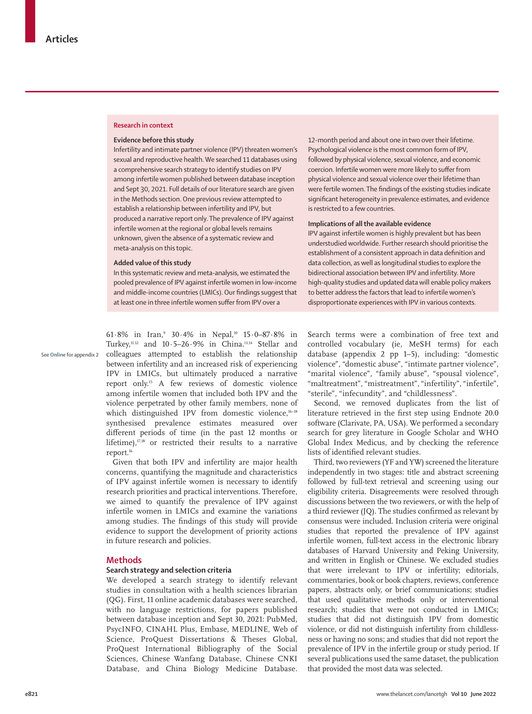## **Research in context**

#### **Evidence before this study**

Infertility and intimate partner violence (IPV) threaten women's sexual and reproductive health. We searched 11 databases using a comprehensive search strategy to identify studies on IPV among infertile women published between database inception and Sept 30, 2021. Full details of our literature search are given in the Methods section. One previous review attempted to establish a relationship between infertility and IPV, but produced a narrative report only. The prevalence of IPV against infertile women at the regional or global levels remains unknown, given the absence of a systematic review and meta-analysis on this topic.

#### **Added value of this study**

In this systematic review and meta-analysis, we estimated the pooled prevalence of IPV against infertile women in low-income and middle-income countries (LMICs). Our findings suggest that at least one in three infertile women suffer from IPV over a

See **Online** for appendix 2

61.8% in Iran,<sup>9</sup> 30.4% in Nepal,<sup>10</sup> 15.0–87.8% in Turkey,<sup>11,12</sup> and  $10.5-26.9\%$  in China.<sup>13,14</sup> Stellar and colleagues attempted to establish the relationship between infertility and an increased risk of experiencing IPV in LMICs, but ultimately produced a narrative report only.15 A few reviews of domestic violence among infertile women that included both IPV and the violence perpetrated by other family members, none of which distinguished IPV from domestic violence,<sup>16-18</sup> synthesised prevalence estimates measured over different periods of time (in the past 12 months or lifetime),<sup>17,18</sup> or restricted their results to a narrative report.<sup>16</sup>

Given that both IPV and infertility are major health concerns, quantifying the magnitude and characteristics of IPV against infertile women is necessary to identify research priorities and practical interventions. Therefore, we aimed to quantify the prevalence of IPV against infertile women in LMICs and examine the variations among studies. The findings of this study will provide evidence to support the development of priority actions in future research and policies.

# **Methods**

# **Search strategy and selection criteria**

We developed a search strategy to identify relevant studies in consultation with a health sciences librarian (QG). First, 11 online academic databases were searched, with no language restrictions, for papers published between database inception and Sept 30, 2021: PubMed, PsycINFO, CINAHL Plus, Embase, MEDLINE, Web of Science, ProQuest Dissertations & Theses Global, ProQuest International Bibliography of the Social Sciences, Chinese Wanfang Database, Chinese CNKI Database, and China Biology Medicine Database.

12-month period and about one in two over their lifetime. Psychological violence is the most common form of IPV, followed by physical violence, sexual violence, and economic coercion. Infertile women were more likely to suffer from physical violence and sexual violence over their lifetime than were fertile women. The findings of the existing studies indicate significant heterogeneity in prevalence estimates, and evidence is restricted to a few countries.

## **Implications of all the available evidence**

IPV against infertile women is highly prevalent but has been understudied worldwide. Further research should prioritise the establishment of a consistent approach in data definition and data collection, as well as longitudinal studies to explore the bidirectional association between IPV and infertility. More high-quality studies and updated data will enable policy makers to better address the factors that lead to infertile women's disproportionate experiences with IPV in various contexts.

Search terms were a combination of free text and controlled vocabulary (ie, MeSH terms) for each database (appendix 2 pp 1–5), including: "domestic violence", "domestic abuse", "intimate partner violence", "marital violence", "family abuse", "spousal violence", "maltreatment", "mistreatment", "infertility", "infertile", "sterile", "infecundity", and "childlessness".

Second, we removed duplicates from the list of literature retrieved in the first step using Endnote 20.0 software (Clarivate, PA, USA). We performed a secondary search for grey literature in Google Scholar and WHO Global Index Medicus, and by checking the reference lists of identified relevant studies.

Third, two reviewers (YF and YW) screened the literature independently in two stages: title and abstract screening followed by full-text retrieval and screening using our eligibility criteria. Disagreements were resolved through discussions between the two reviewers, or with the help of a third reviewer (JQ). The studies confirmed as relevant by consensus were included. Inclusion criteria were original studies that reported the prevalence of IPV against infertile women, full-text access in the electronic library databases of Harvard University and Peking University, and written in English or Chinese. We excluded studies that were irrelevant to IPV or infertility; editorials, commentaries, book or book chapters, reviews, conference papers, abstracts only, or brief communications; studies that used qualitative methods only or interventional research; studies that were not conducted in LMICs; studies that did not distinguish IPV from domestic violence, or did not distinguish infertility from childlessness or having no sons; and studies that did not report the prevalence of IPV in the infertile group or study period. If several publications used the same dataset, the publication that provided the most data was selected.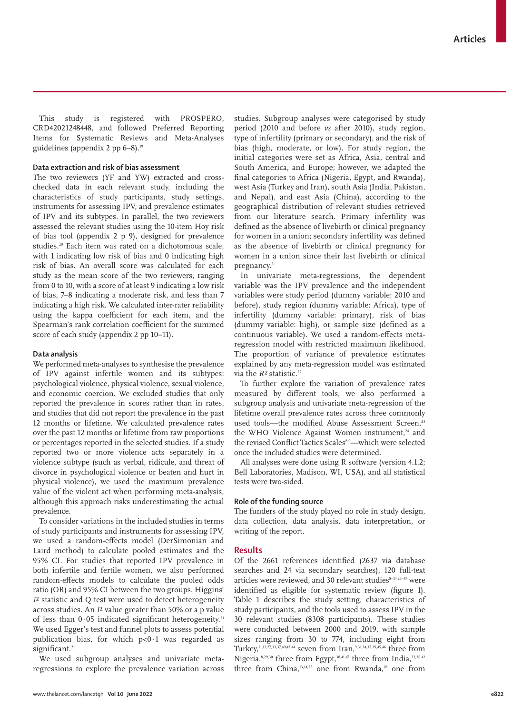This study is registered with PROSPERO, CRD42021248448, and followed Preferred Reporting Items for Systematic Reviews and Meta-Analyses guidelines (appendix 2 pp 6–8).19

## **Data extraction and risk of bias assessment**

The two reviewers (YF and YW) extracted and crosschecked data in each relevant study, including the characteristics of study participants, study settings, instruments for assessing IPV, and prevalence estimates of IPV and its subtypes. In parallel, the two reviewers assessed the relevant studies using the 10-item Hoy risk of bias tool (appendix 2 p 9), designed for prevalence studies.<sup>20</sup> Each item was rated on a dichotomous scale, with 1 indicating low risk of bias and 0 indicating high risk of bias. An overall score was calculated for each study as the mean score of the two reviewers, ranging from 0 to 10, with a score of at least 9 indicating a low risk of bias, 7–8 indicating a moderate risk, and less than 7 indicating a high risk. We calculated inter-rater reliability using the kappa coefficient for each item, and the Spearman's rank correlation coefficient for the summed score of each study (appendix 2 pp 10–11).

## **Data analysis**

We performed meta-analyses to synthesise the prevalence of IPV against infertile women and its subtypes: psychological violence, physical violence, sexual violence, and economic coercion. We excluded studies that only reported the prevalence in scores rather than in rates, and studies that did not report the prevalence in the past 12 months or lifetime. We calculated prevalence rates over the past 12 months or lifetime from raw proportions or percentages reported in the selected studies. If a study reported two or more violence acts separately in a violence subtype (such as verbal, ridicule, and threat of divorce in psychological violence or beaten and hurt in physical violence), we used the maximum prevalence value of the violent act when performing meta-analysis, although this approach risks underestimating the actual prevalence.

To consider variations in the included studies in terms of study participants and instruments for assessing IPV, we used a random-effects model (DerSimonian and Laird method) to calculate pooled estimates and the 95% CI. For studies that reported IPV prevalence in both infertile and fertile women, we also performed random-effects models to calculate the pooled odds ratio (OR) and 95% CI between the two groups. Higgins' *I*² statistic and Q test were used to detect heterogeneity across studies. An *I*² value greater than 50% or a p value of less than  $0.05$  indicated significant heterogeneity.<sup>21</sup> We used Egger's test and funnel plots to assess potential publication bias, for which p<0·1 was regarded as significant.<sup>21</sup>

We used subgroup analyses and univariate metaregressions to explore the prevalence variation across studies. Subgroup analyses were categorised by study period (2010 and before *vs* after 2010), study region, type of infertility (primary or secondary), and the risk of bias (high, moderate, or low). For study region, the initial categories were set as Africa, Asia, central and South America, and Europe; however, we adapted the final categories to Africa (Nigeria, Egypt, and Rwanda), west Asia (Turkey and Iran), south Asia (India, Pakistan, and Nepal), and east Asia (China), according to the geographical distribution of relevant studies retrieved from our literature search. Primary infertility was defined as the absence of livebirth or clinical pregnancy for women in a union; secondary infertility was defined as the absence of livebirth or clinical pregnancy for women in a union since their last livebirth or clinical pregnancy.<sup>3</sup>

In univariate meta-regressions, the dependent variable was the IPV prevalence and the independent variables were study period (dummy variable: 2010 and before), study region (dummy variable: Africa), type of infertility (dummy variable: primary), risk of bias (dummy variable: high), or sample size (defined as a continuous variable). We used a random-effects metaregression model with restricted maximum likelihood. The proportion of variance of prevalence estimates explained by any meta-regression model was estimated via the *R*<sup>2</sup> statistic.<sup>22</sup>

To further explore the variation of prevalence rates measured by different tools, we also performed a subgroup analysis and univariate meta-regression of the lifetime overall prevalence rates across three commonly used tools—the modified Abuse Assessment Screen,<sup>23</sup> the WHO Violence Against Women instrument,<sup>24</sup> and the revised Conflict Tactics Scales8,9—which were selected once the included studies were determined.

All analyses were done using R software (version 4.1.2; Bell Laboratories, Madison, WI, USA), and all statistical tests were two-sided.

## **Role of the funding source**

The funders of the study played no role in study design, data collection, data analysis, data interpretation, or writing of the report.

## **Results**

Of the 2661 references identified (2637 via database searches and 24 via secondary searches), 120 full-text articles were reviewed, and 30 relevant studies<sup>8-14,25-47</sup> were identified as eligible for systematic review (figure 1). Table 1 describes the study setting, characteristics of study participants, and the tools used to assess IPV in the 30 relevant studies (8308 participants). These studies were conducted between 2000 and 2019, with sample sizes ranging from 30 to 774, including eight from Turkey,<sup>11,12,27,33,37,40,43,44</sup> seven from Iran,<sup>9,31,34,35,39,45,46</sup> three from Nigeria,<sup>8,29,30</sup> three from Egypt,<sup>38,41,47</sup> three from India,<sup>32,36,42</sup> three from China, $13,14,25$  one from Rwanda, $28$  one from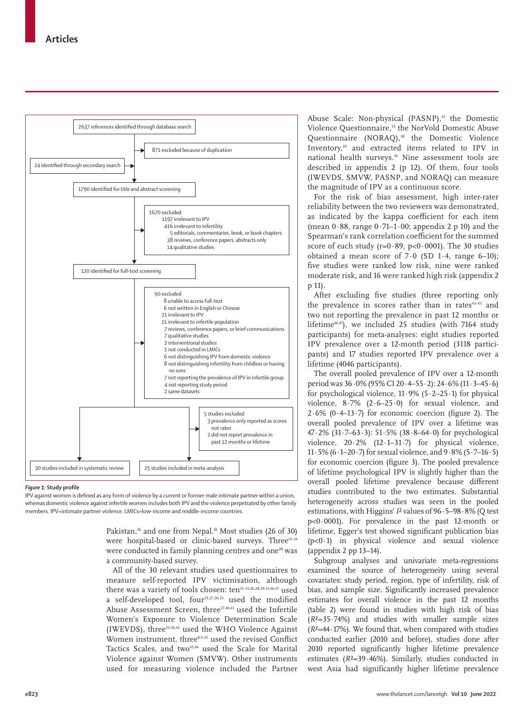

#### *Figure 1:* **Study profile**

IPV against women is defined as any form of violence by a current or former male intimate partner within a union, whereas domestic violence against infertile women includes both IPV and the violence perpetrated by other family members. IPV=intimate partner violence. LMICs=low-income and middle-income countries.

> Pakistan,<sup>26</sup> and one from Nepal.<sup>10</sup> Most studies (26 of 30) were hospital-based or clinic-based surveys. Three<sup>12-14</sup> were conducted in family planning centres and one<sup>28</sup> was a community-based survey.

> All of the 30 relevant studies used questionnaires to measure self-reported IPV victimisation, although there was a variety of tools chosen: ten<sup>11-14,26,28,29,31,46,47</sup> used a self-developed tool, four25,27,30,33 used the modified Abuse Assessment Screen, three37,40,41 used the Infertile Women's Exposure to Violence Determination Scale (IWEVDS), three34,36,42 used the WHO Violence Against Women instrument, three<sup>8,9,35</sup> used the revised Conflict Tactics Scales, and two<sup>43,44</sup> used the Scale for Marital Violence against Women (SMVW). Other instruments used for measuring violence included the Partner

Abuse Scale: Non-physical (PASNP),<sup>45</sup> the Domestic Violence Questionnaire,<sup>32</sup> the NorVold Domestic Abuse Questionnaire (NORAQ),<sup>38</sup> the Domestic Violence Inventory,<sup>39</sup> and extracted items related to IPV in national health surveys.10 Nine assessment tools are described in appendix 2 (p 12). Of them, four tools (IWEVDS, SMVW, PASNP, and NORAQ) can measure the magnitude of IPV as a continuous score.

For the risk of bias assessment, high inter-rater reliability between the two reviewers was demonstrated, as indicated by the kappa coefficient for each item (mean  $0.88$ , range  $0.71-1.00$ ; appendix 2 p 10) and the Spearman's rank correlation coefficient for the summed score of each study ( $r=0.89$ ,  $p<0.0001$ ). The 30 studies obtained a mean score of 7·0 (SD 1·4, range 6–10); five studies were ranked low risk, nine were ranked moderate risk, and 16 were ranked high risk (appendix 2 p 11).

After excluding five studies (three reporting only the prevalence in scores rather than in rates<sup>43-45</sup> and two not reporting the prevalence in past 12 months or lifetime<sup>46,47</sup>), we included 25 studies (with 7164 study participants) for meta-analyses: eight studies reported IPV prevalence over a 12-month period (3118 participants) and 17 studies reported IPV prevalence over a lifetime (4046 participants).

The overall pooled prevalence of IPV over a 12-month period was 36·0% (95% CI 20·4–55·2): 24·6% (11·3–45·6) for psychological violence,  $11.9\%$  (5 $\cdot$ 2–25 $\cdot$ 1) for physical violence, 8·7% (2·6–25·0) for sexual violence, and  $2.6\%$  (0.4–13.7) for economic coercion (figure 2). The overall pooled prevalence of IPV over a lifetime was 47·2% (31·7–63·3): 51·5% (38·8–64·0) for psychological violence,  $20.2\%$  (12.1–31.7) for physical violence, 11·5% (6·1–20·7) for sexual violence, and 9·8% (5·7–16·5) for economic coercion (figure 3). The pooled prevalence of lifetime psychological IPV is slightly higher than the overall pooled lifetime prevalence because different studies contributed to the two estimates. Substantial heterogeneity across studies was seen in the pooled estimations, with Higgins' *I*² values of 96·5–98·8% (Q test p<0·0001). For prevalence in the past 12-month or lifetime, Egger's test showed significant publication bias (p<0·1) in physical violence and sexual violence (appendix 2 pp 13–14).

Subgroup analyses and univariate meta-regressions examined the source of heterogeneity using several covariates: study period, region, type of infertility, risk of bias, and sample size. Significantly increased prevalence estimates for overall violence in the past 12 months (table 2) were found in studies with high risk of bias (*R*²=35·74%) and studies with smaller sample sizes (*R*²=44·17%). We found that, when compared with studies conducted earlier (2010 and before), studies done after 2010 reported significantly higher lifetime prevalence estimates (*R*²=39·46%). Similarly, studies conducted in west Asia had significantly higher lifetime prevalence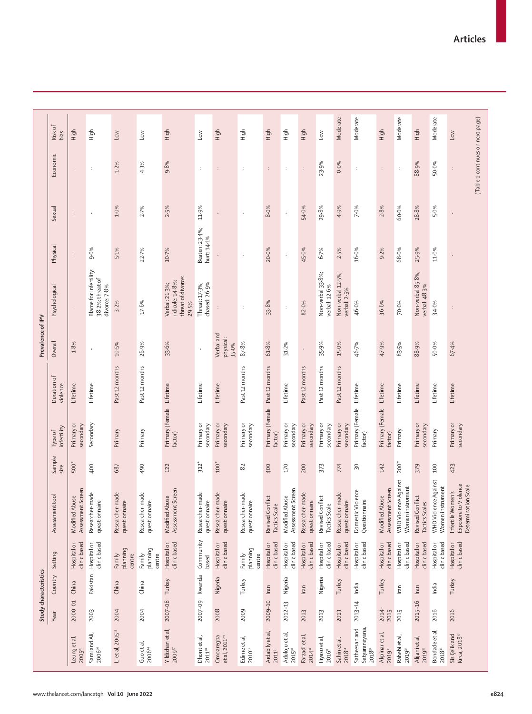|                                                      | Study characteristics |          |                              |                                                                  |                 |                                     |                         |                                  | Prevalence of IPV                                                 |                               |                      |                                              |                 |
|------------------------------------------------------|-----------------------|----------|------------------------------|------------------------------------------------------------------|-----------------|-------------------------------------|-------------------------|----------------------------------|-------------------------------------------------------------------|-------------------------------|----------------------|----------------------------------------------|-----------------|
|                                                      | Year                  | Country  | Setting                      | Assessment tool                                                  | Sample<br>size  | infertility<br>Type of              | Duration of<br>violence | Overall                          | Psychological                                                     | Physical                      | Sexual               | Economic                                     | Risk of<br>bias |
| Leung et al,<br>2005 <sup>25</sup>                   | 2000-01               | China    | clinic based<br>Hospital or  | Assessment Screen<br>Modified Abuse                              | 500*            | Primary or<br>secondary             | Lifetime                | $1.8\%$                          | ÷                                                                 | $\colon$                      | $\cdot$              | $\colon$                                     | High            |
| Sami and Ali,<br>$2006$ $\mathrm{^{\mathrm{26}}}$    | 2003                  | Pakistan | clinic based<br>Hospital or  | Researcher-made<br>questionnaire                                 | 400             | Secondary                           | Lifetime                | $\cdot$                          | Blame for infertility:<br>38-2%; threat of<br>divorce: 7-8%       | 9.0%                          | $\cdot$              | ÷                                            | High            |
| Li et al, 2005 <sup>13</sup>                         | 2004                  | China    | planning<br>Family<br>centre | Researcher-made<br>questionnaire                                 | 687             | Primary                             | Past 12 months          | 10.5%                            | 3.2%                                                              | 5.1%                          | 1.0%                 | 1.2%                                         | Low             |
| Guo et al,<br>$2006^{14}$                            | 2004                  | China    | planning<br>Family<br>centre | Researcher-made<br>questionnaire                                 | 490             | Primary                             | Past 12 months          | 26.9%                            | 17.6%                                                             | 22.7%                         | 2.7%                 | 4.3%                                         | Low             |
| Yildizhan et al,<br>$2009$ <sup><math>7</math></sup> | 2007-08 Turkey        |          | clinic based<br>Hospital or  | Assessment Screen<br>Modified Abuse                              | 122             | Primary (Female Lifetime<br>factor) |                         | 33.6%                            | threat of divorce:<br>ridicule: 14-8%;<br>Verbal: 21-3%;<br>29.5% | 10.7%                         | 2.5%                 | 9.8%                                         | High            |
| Dhontetal,<br>$2011^{\text{28}}$                     | 2007-09               | Rwanda   | Community<br>based           | Researcher-made<br>questionnaire                                 | $312*$          | Primary or<br>secondary             | Lifetime                | $\colon$                         | chased: 26-9%<br>Threat: 17-3%;                                   | Beaten: 23-4%;<br>hurt: 14-1% | 11.9%                | ÷                                            | Low             |
| Omoaregba<br>et al, 2011 <sup>29</sup>               | 2008                  | Nigeria  | clinic based<br>Hospital or  | Researcher-made<br>questionnaire                                 | $100*$          | Primary or<br>secondary             | Lifetime                | Verbal and<br>physical:<br>35.0% |                                                                   |                               | $\cdot$              | ÷                                            | High            |
| Edirne et al,<br>$2010^\mathrm{12}$                  | 2009                  | Turkey   | planning<br>Family<br>centre | Researcher-made<br>questionnaire                                 | 82              | Primary or<br>secondary             | Past 12 months          | 87.8%                            | ÷                                                                 | $\cdot$                       | ÷                    | ÷                                            | High            |
| Ardabily et al,<br>2011 <sup>9</sup>                 | 2009-10               | Iran     | clinic based<br>Hospital or  | Revised Conflict<br>Tactics Scale                                | 400             | Primary (Female<br>factor)          | Past 12 months          | 61.8%                            | 33.8%                                                             | 20.0%                         | 8.0%                 | ÷                                            | High            |
| Aduloju et al,<br>$2015^\circ$                       | 2012-13               | Nigeria  | clinic based<br>Hospital or  | Assessment Screen<br>Modified Abuse                              | 170             | Primary or<br>secondary             | Lifetime                | 31.2%                            | ÷                                                                 | $\ddot{\phantom{a}}$          | $\ddot{\phantom{a}}$ | ÷                                            | High            |
| Farzadi et al,<br>201431                             | 2013                  | Iran     | clinic based<br>Hospital or  | Researcher-made<br>questionnaire                                 | 200             | Primary or<br>secondary             | Past 12 months          | $\colon$                         | 82.0%                                                             | 45.0%                         | 54.0%                | $\colon$                                     | High            |
| lliyasu et al,<br>20168                              | 2013                  | Nigeria  | clinic based<br>Hospital or  | Revised Conflict<br>Tactics Scale                                | 373             | Primary or<br>secondary             | Past 12 months          | 35.9%                            | Non-verbal 33.8%;<br>verbal: 12-6%                                | $6 - 7%$                      | 29.8%                | 23.9%                                        | Low             |
| Sahin et al,<br>201811                               | 2013                  | Turkey   | Hospital or<br>clinic based  | Researcher-made<br>questionnaire                                 | 774             | Primary or<br>secondary             | Past 12 months          | 15.0%                            | Non-verbal 12-5%;<br>verbal: 2-5%                                 | 2.5%                          | 4.9%                 | 0.0%                                         | Moderate        |
| Satheesan and<br>Satyaranayana<br>$2018^{32}$        | 2013-14               | India    | clinic based<br>Hospital or  | Domestic Violence<br>Questionnaire                               | $\overline{50}$ | Primary (Female Lifetime<br>factor) |                         | 46.7%                            | 46.0%                                                             | 16.0%                         | 7.0%                 | ÷                                            | Moderate        |
| Akpinar et al,<br>201933                             | 2014-<br>2015         | Turkey   | clinic based<br>Hospital or  | Assessment Screen<br>Modified Abuse                              | 142             | Primary (Female Lifetime<br>factor) |                         | 47.9%                            | 36.6%                                                             | 9.2%                          | 2.8%                 | $\colon$                                     | High            |
| Rahebi et al,<br>201934                              | 2015                  | Iran     | clinic based<br>Hospital or  | WHO Violence Against<br>Women instrument                         | $200*$          | Primary                             | Lifetime                | 83.5%                            | 70.0%                                                             | 68.0%                         | 60.0%                | ÷                                            | Moderate        |
| Alijani et al,<br>2019 <sup>35</sup>                 | 2015-16               | Iran     | Hospital or<br>clinic based  | Revised Conflict<br>Tactics Scales                               | 379             | Primary or<br>secondary             | Lifetime                | 88.9%                            | Non-verbal 85.8%;<br>verbal: 48-3%                                | 25.9%                         | 28.8%                | 88.9%                                        | High            |
| Bondade et al,<br>$2018^{\scriptscriptstyle \pm6}$   | 2016                  | India    | clinic based<br>Hospital or  | WHO Violence Against<br>Women instrument                         | 100             | Primary                             | Lifetime                | 50.0%                            | 34.0%                                                             | 11.0%                         | 5.0%                 | 50.0%                                        | Moderate        |
| Kırca, 2018 <sup>37</sup><br>Sis Çelik and           | 2016                  | Turkey   | Hospital or<br>clinic based  | Exposure to Violence<br>Determination Scale<br>Infertile Women's | 423             | Primary or<br>secondary             | Lifetime                | 67.4%                            |                                                                   |                               | $\colon$             | (Table 1 continues on next page)<br>$\colon$ | Low             |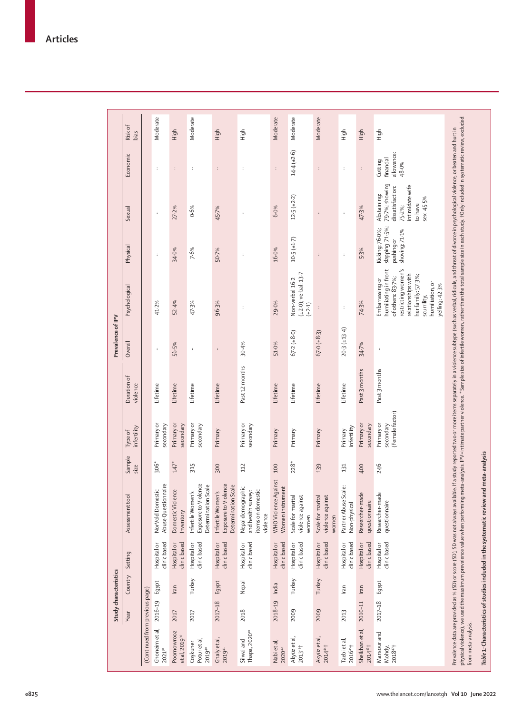|                       | Risk of<br>bias<br>Economic |                                | Moderate<br>$\cdot$                     | High<br>$\colon$                         | Moderate<br>÷                                                    | High<br>$\colon$                                                 | High<br>$\ddot{\phantom{a}}$                                             | Moderate<br>$\colon$                     | Moderate<br>$14.4 (\pm 2.6)$                              | Moderate<br>$\colon$                           | High<br>$\cdot$                      | High<br>$\ddot{\phantom{a}}$            | High<br>allowance:<br>financial<br>Cutting<br>48.0%                                                                                                                                 |
|-----------------------|-----------------------------|--------------------------------|-----------------------------------------|------------------------------------------|------------------------------------------------------------------|------------------------------------------------------------------|--------------------------------------------------------------------------|------------------------------------------|-----------------------------------------------------------|------------------------------------------------|--------------------------------------|-----------------------------------------|-------------------------------------------------------------------------------------------------------------------------------------------------------------------------------------|
|                       | Sexual                      |                                | $\colon$                                | 27-2%                                    | 0.6%                                                             | 45.7%                                                            | $\colon$                                                                 | 6.0%                                     | 12.5 (±2.2)                                               | $\colon$                                       | $\colon$                             | 47.3%                                   | 79-7%; showing<br>intimidate wife<br>dissatisfaction:<br>Abstaining:<br>sex: 45-5%<br>to have<br>75-2%;                                                                             |
|                       | Physical                    |                                | $\colon$                                | 34.0%                                    | 7.6%                                                             | 50.7%                                                            | $\colon$                                                                 | 16.0%                                    | $10.5(\pm 1.7)$                                           | $\colon$                                       | $\colon$                             | 5.3%                                    | slapping: 71-5%;<br>Kicking: 76-0%;<br>shoving: 71-1%<br>pushing or                                                                                                                 |
|                       | Psychological               |                                | 41.2%                                   | 52.4%                                    | 47.3%                                                            | 96.3%                                                            | ÷                                                                        | 29.0%                                    | $(\pm 2.0)$ ; verbal: 13-7<br>Non-verbal 16-2<br>$(+2.1)$ | $\colon$                                       | $\ddot{\cdot}$                       | 74.3%                                   | restricting women's<br>humiliating in front<br>relationships with<br>her family: 57-3%;<br>of others: 83-7%;<br>Embarrassing or<br>humiliation, or<br>yelling: 42-3%<br>scurrility, |
| Prevalence of IPV     | Overall                     |                                | $\cdot$                                 | 56.5%                                    | ÷                                                                | $\colon$                                                         | 30.4%                                                                    | 51.0%                                    | $67.2(*8.0)$                                              | $67.0 (+8.3)$                                  | $20.3(\pm 13.4)$                     | 34.7%                                   | $\colon$                                                                                                                                                                            |
|                       | Duration of<br>violence     |                                | Lifetime                                | Lifetime                                 | Lifetime                                                         | Lifetime                                                         | Past 12 months                                                           | Lifetime                                 | Lifetime                                                  | Lifetime                                       | Lifetime                             | Past 3 months                           | Past 3 months                                                                                                                                                                       |
|                       | infertility<br>Type of      |                                | Primary or<br>secondary                 | Primary or<br>secondary                  | Primary or<br>secondary                                          | Primary                                                          | Primary or<br>secondary                                                  | Primary                                  | Primary                                                   | Primary                                        | infertility<br>Primary               | Primary or<br>secondary                 | (Female factor)<br>Primary or<br>secondary                                                                                                                                          |
|                       | Sample<br>size              |                                | $306*$                                  | $147*$                                   | 315                                                              | 300                                                              | 112                                                                      | 100                                      | $228*$                                                    | 139                                            | 131                                  | 400                                     | 246                                                                                                                                                                                 |
|                       | tool<br>Assessment          |                                | Abuse Questionnaire<br>NorVold Domestic | Domestic Violence<br>Inventory           | Exposure to Violence<br>Determination Scale<br>Infertile Women's | Exposure to Violence<br>Determination Scale<br>Infertile Women's | Nepal demographic<br>items on domestic<br>and health survey:<br>violence | WHO Violence Against<br>Women instrument | Scale for marital<br>violence against<br>women            | Scale for marital<br>violence against<br>women | Partner Abuse Scale:<br>Non-physical | Researcher-made<br>questionnaire        | Researcher-made<br>questionnaire                                                                                                                                                    |
|                       | Setting                     |                                | clinic based<br>Hospital or             | clinic based<br>Hospital or              | clinic based<br>Hospital or                                      | clinic based<br>Hospital or                                      | clinic based<br>Hospital or                                              | clinic based<br>Hospital or              | clinic based<br>Hospital or                               | clinic based<br>Hospital or                    | clinic based<br>Hospital or          | clinic based<br>Hospital or             | clinic based<br>Hospital or                                                                                                                                                         |
| Study characteristics | Country                     |                                | Egypt                                   | Iran                                     | Turkey                                                           | Egypt                                                            | Nepal                                                                    | India                                    | Turkey                                                    | Turkey                                         | Iran                                 | Iran                                    | Egypt                                                                                                                                                                               |
|                       | Year                        |                                | 2016-19                                 | 2017                                     | 2017                                                             | 2017-18                                                          | 2018                                                                     | 2018-19                                  | 2009                                                      | 2009                                           | 2013                                 | 2010-11                                 | 2017-18                                                                                                                                                                             |
|                       |                             | (Continued from previous page) | Ghoneim et al,<br>202138                | Poornowrooz<br>et al, 2019 <sup>39</sup> | Potur et al,<br>Coşkuner<br>201940                               | Ghaly et al,<br>201941                                           | Thapa, 2020 <sup>10</sup><br>Silwal and                                  | Nabiet al,<br>$2020^{42}$                | Akyüz et al,<br>$2013^{43}$                               | Akyüz et al,<br>2014 <sup>44</sup>             | Taebi et al,<br>201645+              | Sheikhan et al,<br>2014 <sup>46</sup> † | Mansour and<br>201847<br>Mohdy,                                                                                                                                                     |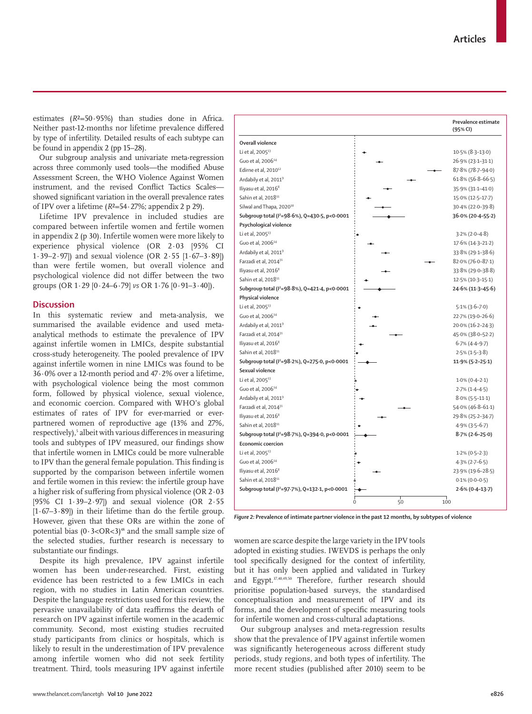**Prevalence estimate (95% CI)**

Li et al, 2005<sup>13</sup> Guo et al, 200614 Edirne et al, 2010<sup>12</sup> Ardabily et al, 20119 Iliyasu et al, 20168 Sahin et al, 201811 Silwal and Thapa, 2020<sup>10</sup> **Subgroup total (***I 2* **=98·6%), Q=430·5, p<0·0001 Psychological violence** Li et al,  $2005^{13}$ Guo et al, 2006 $1$ Ardabily et al, 20119 Farzadi et al, 201431 Iliyasu et al, 20168 Sahin et al, 201811 **Subgroup total (***I 2* **=98·8%), Q=421·4, p<0·0001 Physical violence** Li et al,  $2005^{13}$ Guo et al, 200614 Ardabily et al, 20119 Farzadi et al, 201431 Iliyasu et al, 2016<sup>8</sup> Sahin et al, 2018<sup>11</sup> **Subgroup total (***I 2* **=98·2%), Q=275·0, p<0·0001 Sexual violence** Li et al, 200513 Guo et al,  $2006<sup>1</sup>$ Ardabily et al, 2011<sup>9</sup> Farzadi et al, 201431 Iliyasu et al, 2016<sup>8</sup> Sahin et al, 2018<sup>11</sup> **Subgroup total (***I 2* **=98·7%), Q=394·0, p<0·0001 Economic coercion** Li et al,  $2005<sup>13</sup>$ Guo et al, 200614 Iliyasu et al, 2016<sup>8</sup> Sahin et al, 2018<sup>11</sup> **Subgroup total (***I 2* **=97·7%), Q=132·1, p<0·0001** 10·5% (8·3–13·0) 26·9% (23·1–31·1) 87·8% (78·7–94·0) 61·8% (56·8–66·5) 35·9% (31·1–41·0) 15·0% (12·5–17·7) 30·4% (22·0–39·8)  **36·0% (20·4–55·2)** 3·2% (2·0–4·8) 17·6% (14·3–21·2) 33·8% (29·1–38·6) 82·0% (76·0–87·1) 33·8% (29·0–38·8) 12·5% (10·3–15·1)  **24·6% (11·3–45·6)** 5·1% (3·6–7·0) 22·7% (19·0–26·6) 20·0% (16·2–24·3) 45·0% (38·0–52·2) 6·7% (4·4–9·7) 2·5% (1·5–3·8)  **11·9% (5·2–25·1)** 1·0% (0·4–2·1) 2·7% (1·4–4·5) 8·0% (5·5–11·1) 54·0% (46·8–61·1) 29·8% (25·2–34·7) 4·9% (3·5–6·7)  **8·7% (2·6–25·0)** 1·2% (0·5–2·3) 4·3% (2·7–6·5) 23·9% (19·6–28·5) 0·1% (0·0–0·5)  **2·6% (0·4–13·7)** 0 50 100

estimates (*R*²=50·95%) than studies done in Africa. Neither past-12-months nor lifetime prevalence differed by type of infertility. Detailed results of each subtype can be found in appendix 2 (pp 15–28).

**Overall violence**

Our subgroup analysis and univariate meta-regression across three commonly used tools—the modified Abuse Assessment Screen, the WHO Violence Against Women instrument, and the revised Conflict Tactics Scales showed significant variation in the overall prevalence rates of IPV over a lifetime (*R*²=54·27%; appendix 2 p 29).

Lifetime IPV prevalence in included studies are compared between infertile women and fertile women in appendix 2 (p 30). Infertile women were more likely to experience physical violence (OR 2·03 [95% CI 1·39–2·97]) and sexual violence (OR 2·55 [1·67–3·89]) than were fertile women, but overall violence and psychological violence did not differ between the two groups (OR 1·29 [0·24–6·79] *vs* OR 1·76 [0·91–3·40]).

# **Discussion**

In this systematic review and meta-analysis, we summarised the available evidence and used metaanalytical methods to estimate the prevalence of IPV against infertile women in LMICs, despite substantial cross-study heterogeneity. The pooled prevalence of IPV against infertile women in nine LMICs was found to be 36·0% over a 12-month period and 47·2% over a lifetime, with psychological violence being the most common form, followed by physical violence, sexual violence, and economic coercion. Compared with WHO's global estimates of rates of IPV for ever-married or everpartnered women of reproductive age (13% and 27%, respectively),<sup>s</sup> albeit with various differences in measuring tools and subtypes of IPV measured, our findings show that infertile women in LMICs could be more vulnerable to IPV than the general female population. This finding is supported by the comparison between infertile women and fertile women in this review: the infertile group have a higher risk of suffering from physical violence (OR 2·03 [95% CI 1·39–2·97]) and sexual violence (OR 2·55  $[1.67-3.89]$ ) in their lifetime than do the fertile group. However, given that these ORs are within the zone of potential bias  $(0.3<\Omega R<3)$ <sup>48</sup> and the small sample size of the selected studies, further research is necessary to substantiate our findings.

Despite its high prevalence, IPV against infertile women has been under-researched. First, existing evidence has been restricted to a few LMICs in each region, with no studies in Latin American countries. Despite the language restrictions used for this review, the pervasive unavailability of data reaffirms the dearth of research on IPV against infertile women in the academic community. Second, most existing studies recruited study participants from clinics or hospitals, which is likely to result in the underestimation of IPV prevalence among infertile women who did not seek fertility treatment. Third, tools measuring IPV against infertile *Figure 2:* **Prevalence of intimate partner violence in the past 12 months, by subtypes of violence**

women are scarce despite the large variety in the IPV tools adopted in existing studies. IWEVDS is perhaps the only tool specifically designed for the context of infertility, but it has only been applied and validated in Turkey and Egypt.37,40,49,50 Therefore, further research should prioritise population-based surveys, the standardised conceptualisation and measurement of IPV and its forms, and the development of specific measuring tools for infertile women and cross-cultural adaptations.

Our subgroup analyses and meta-regression results show that the prevalence of IPV against infertile women was significantly heterogeneous across different study periods, study regions, and both types of infertility. The more recent studies (published after 2010) seem to be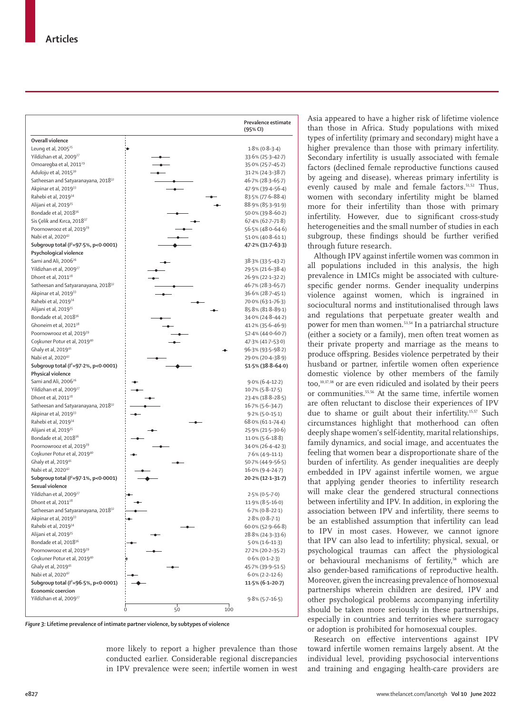|                                                          |                | Prevalence estimate<br>(95% CI) |
|----------------------------------------------------------|----------------|---------------------------------|
| Overall violence                                         |                |                                 |
| Leung et al, 2005 <sup>25</sup>                          |                | $1.8\%$ (0.8-3.4)               |
| Yildizhan et al, 2009 <sup>27</sup>                      |                | 33.6% (25.3-42.7)               |
| Omoaregba et al, 2011 <sup>29</sup>                      |                | 35.0% (25.7-45.2)               |
| Aduloju et al, 2015 <sup>30</sup>                        |                | 31.2% (24.3-38.7)               |
| Satheesan and Satyaranayana, 2018 <sup>32</sup>          |                | 46.7% (28.3–65.7)               |
| Akpinar et al, 2019 <sup>33</sup>                        |                | 47.9% (39.4–56.4)               |
| Rahebi et al, 2019 <sup>34</sup>                         |                | 83.5% (77.6-88.4)               |
| Alijani et al, 2019 <sup>35</sup>                        |                | 88.9% (85.3-91.9)               |
| Bondade et al, 2018 <sup>36</sup>                        |                | 50.0% (39.8-60.2)               |
| Sis Çelik and Kırca, 2018 <sup>37</sup>                  |                | $67.4\%$ $(62.7 - 71.8)$        |
| Poornowrooz et al, 2019 <sup>39</sup>                    |                | 56.5% (48.0-64.6)               |
| Nabi et al, 2020 <sup>42</sup>                           |                | $51.0\%$ (40.8-61.1)            |
| Subgroup total ( $l^2$ =97 $\cdot$ 5%, p<0 $\cdot$ 0001) |                | 47.2% (31.7-63.3)               |
| Psychological violence                                   |                |                                 |
| Sami and Ali, 2006 <sup>26</sup>                         |                | 38.3% (33.5-43.2)               |
| Yildizhan et al, 2009 <sup>27</sup>                      |                | 29.5% (21.6-38.4)               |
| Dhont et al, 2011 <sup>28</sup>                          |                | 26.9% (22.1-32.2)               |
| Satheesan and Satyaranayana, 2018 <sup>32</sup>          |                | 46.7% (28.3–65.7)               |
| Akpinar et al, 2019 <sup>33</sup>                        |                | 36.6% (28.7-45.1)               |
| Rahebi et al, 2019 <sup>34</sup>                         |                | 70.0% (63.1-76.3)               |
| Alijani et al, 2019 <sup>35</sup>                        |                | 85.8% (81.8–89.1)               |
| Bondade et al, 2018 <sup>36</sup>                        |                | 34.0% (24.8-44.2)               |
| Ghoneim et al, 2021 <sup>38</sup>                        |                | 41.2% (35.6-46.9)               |
| Poornowrooz et al, 2019 <sup>39</sup>                    |                | 52.4% (44.0-60.7)               |
| Coşkuner Potur et al, 2019 <sup>40</sup>                 |                | 47.3% (41.7-53.0)               |
| Ghaly et al, 2019 <sup>41</sup>                          |                | 96.3% (93.5-98.2)               |
| Nabi et al, 202042                                       |                | 29.0% (20.4-38.9)               |
| Subgroup total ( $l^2$ =97 $\cdot$ 2%, p<0 $\cdot$ 0001) |                | 51.5% (38.8–64.0)               |
| Physical violence                                        |                |                                 |
| Sami and Ali, 2006 <sup>26</sup>                         |                | $9.0\% (6.4-12.2)$              |
| Yildizhan et al, 2009 <sup>27</sup>                      |                | $10.7\%$ (5.8–17.5)             |
| Dhont et al, 2011 <sup>28</sup>                          |                | 23.4% (18.8–28.5)               |
| Satheesan and Satyaranayana, 2018 <sup>32</sup>          |                | 16.7% (5.6–34.7)                |
| Akpinar et al, 2019 <sup>33</sup>                        |                | $9.2\% (5.0 - 15.1)$            |
| Rahebi et al, 2019 <sup>34</sup>                         |                | 68.0% (61.1-74.4)               |
| Alijani et al, 2019 <sup>35</sup>                        |                | 25.9% (21.5–30.6)               |
| Bondade et al, 2018 <sup>36</sup>                        |                | $11.0\%$ (5.6–18.8)             |
| Poornowrooz et al, 2019 <sup>39</sup>                    |                | 34.0% (26.4-42.3)               |
| Coşkuner Potur et al, 2019 <sup>40</sup>                 |                | $7.6\%$ (4.9–11.1)              |
| Ghaly et al, 2019 <sup>41</sup>                          |                | 50.7% (44.9-56.5)               |
| Nabi et al, 2020 <sup>42</sup>                           |                | 16.0% (9.4-24.7)                |
| Subgroup total ( $l^2$ =97 $\cdot$ 1%, p<0 $\cdot$ 0001) |                | 20 2% (12 1 - 31 - 7)           |
| Sexual violence                                          |                |                                 |
| Yildizhan et al, 2009 <sup>27</sup>                      |                | $2.5\% (0.5 - 7.0)$             |
| Dhont et al, 2011 <sup>28</sup>                          |                | $11.9\%$ (8.5-16.0)             |
| Satheesan and Satyaranayana, 2018 <sup>32</sup>          |                | $6.7\%$ (0.8-22.1)              |
| Akpinar et al, 2019 <sup>33</sup>                        |                | $2.8\%$ (0.8-7.1)               |
| Rahebi et al, 2019 <sup>34</sup>                         |                | $60.0\%$ (52.9-66.8)            |
| Alijani et al, 2019 <sup>35</sup>                        |                | 28.8% (24.3-33.6)               |
| Bondade et al, 2018 <sup>36</sup>                        |                | $5.0\%$ (1.6–11.3)              |
| Poornowrooz et al, 2019 <sup>39</sup>                    |                | 27.2% (20.2-35.2)               |
| Coskuner Potur et al, 2019 <sup>40</sup>                 |                | $0.6\%$ (0.1-2.3)               |
| Ghaly et al, 2019 <sup>41</sup>                          |                | 45.7% (39.9-51.5)               |
| Nabi et al, 202042                                       |                | $6.0\%$ (2.2–12.6)              |
| Subgroup total ( $l^2$ =96.5%, p<0.0001)                 |                | 11.5% (6.1-20.7)                |
| Economic coercion                                        |                |                                 |
| Yildizhan et al, 2009 <sup>27</sup>                      |                | $9.8\%$ (5.7–16.5)              |
|                                                          | 50<br>100<br>0 |                                 |
|                                                          |                |                                 |

*Figure 3:* **Lifetime prevalence of intimate partner violence, by subtypes of violence**

more likely to report a higher prevalence than those conducted earlier. Considerable regional discrepancies in IPV prevalence were seen; infertile women in west Asia appeared to have a higher risk of lifetime violence than those in Africa. Study populations with mixed types of infertility (primary and secondary) might have a higher prevalence than those with primary infertility. Secondary infertility is usually associated with female factors (declined female reproductive functions caused by ageing and disease), whereas primary infertility is evenly caused by male and female factors.<sup>51,52</sup> Thus, women with secondary infertility might be blamed more for their infertility than those with primary infertility. However, due to significant cross-study heterogeneities and the small number of studies in each subgroup, these findings should be further verified through future research.

Although IPV against infertile women was common in all populations included in this analysis, the high prevalence in LMICs might be associated with culturespecific gender norms. Gender inequality underpins violence against women, which is ingrained in sociocultural norms and institutionalised through laws and regulations that perpetuate greater wealth and power for men than women.<sup>53,54</sup> In a patriarchal structure (either a society or a family), men often treat women as their private property and marriage as the means to produce offspring. Besides violence perpetrated by their husband or partner, infertile women often experience domestic violence by other members of the family too,10,37,38 or are even ridiculed and isolated by their peers or communities.55,56 At the same time, infertile women are often reluctant to disclose their experiences of IPV due to shame or guilt about their infertility.<sup>15,57</sup> Such circumstances highlight that motherhood can often deeply shape women's self-identity, marital relationships, family dynamics, and social image, and accentuates the feeling that women bear a disproportionate share of the burden of infertility. As gender inequalities are deeply embedded in IPV against infertile women, we argue that applying gender theories to infertility research will make clear the gendered structural connections between infertility and IPV. In addition, in exploring the association between IPV and infertility, there seems to be an established assumption that infertility can lead to IPV in most cases. However, we cannot ignore that IPV can also lead to infertility; physical, sexual, or psychological traumas can affect the physiological or behavioural mechanisms of fertility,<sup>58</sup> which are also gender-based ramifications of reproductive health. Moreover, given the increasing prevalence of homosexual partnerships wherein children are desired, IPV and other psychological problems accompanying infertility should be taken more seriously in these partnerships, especially in countries and territories where surrogacy or adoption is prohibited for homosexual couples.

Research on effective interventions against IPV toward infertile women remains largely absent. At the individual level, providing psychosocial interventions and training and engaging health-care providers are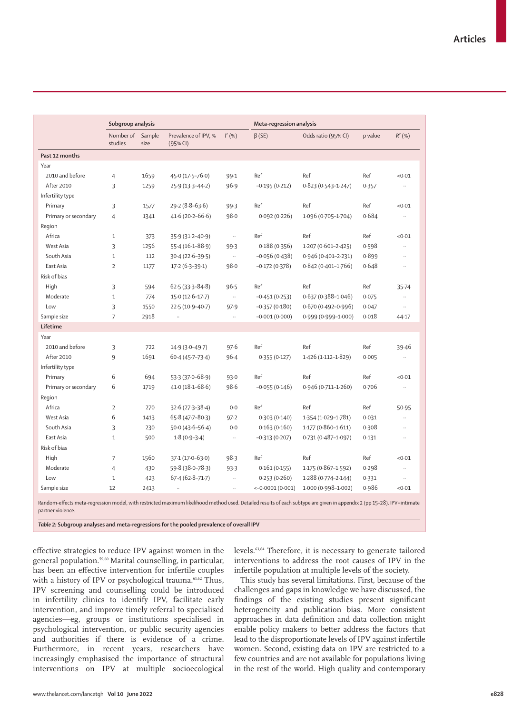|                      | Subgroup analysis    |                |                                  |                      | Meta-regression analysis |                        |         |                             |  |
|----------------------|----------------------|----------------|----------------------------------|----------------------|--------------------------|------------------------|---------|-----------------------------|--|
|                      | Number of<br>studies | Sample<br>size | Prevalence of IPV, %<br>(95% CI) | $I^2(% )$            | $\beta$ (SE)             | Odds ratio (95% CI)    | p value | $R^2(%)$                    |  |
| Past 12 months       |                      |                |                                  |                      |                          |                        |         |                             |  |
| Year                 |                      |                |                                  |                      |                          |                        |         |                             |  |
| 2010 and before      | 4                    | 1659           | 45.0 (17.5-76.0)                 | 99.1                 | Ref                      | Ref                    | Ref     | < 0.01                      |  |
| After 2010           | 3                    | 1259           | $25.9(13.3 - 44.2)$              | 96.9                 | $-0.195(0.212)$          | $0.823(0.543 - 1.247)$ | 0.357   | $\ddotsc$                   |  |
| Infertility type     |                      |                |                                  |                      |                          |                        |         |                             |  |
| Primary              | 3                    | 1577           | $29.2(8.8-63.6)$                 | 99.3                 | Ref                      | Ref                    | Ref     | < 0.01                      |  |
| Primary or secondary | $\overline{4}$       | 1341           | $41.6(20.2 - 66.6)$              | 98.0                 | 0.092(0.226)             | 1.096 (0.705-1.704)    | 0.684   | $\ldots$                    |  |
| Region               |                      |                |                                  |                      |                          |                        |         |                             |  |
| Africa               | $\mathbf{1}$         | 373            | 35.9 (31.2-40.9)                 | $\ldots$             | Ref                      | Ref                    | Ref     | < 0.01                      |  |
| West Asia            | 3                    | 1256           | $55.4(16.1 - 88.9)$              | 99.3                 | 0.188(0.356)             | $1.207(0.601-2.425)$   | 0.598   | Ω.                          |  |
| South Asia           | $\mathbf{1}$         | 112            | $30.4(22.6 - 39.5)$              | $\ldots$             | $-0.056(0.438)$          | 0.946 (0.401-2.231)    | 0.899   | $\ddotsc$                   |  |
| East Asia            | $\overline{2}$       | 1177           | $17.2(6.3-39.1)$                 | 98.0                 | $-0.172(0.378)$          | $0.842(0.401 - 1.766)$ | 0.648   | $\ddotsc$                   |  |
| Risk of bias         |                      |                |                                  |                      |                          |                        |         |                             |  |
| High                 | 3                    | 594            | $62.5(33.3 - 84.8)$              | 96.5                 | Ref                      | Ref                    | Ref     | $35 - 74$                   |  |
| Moderate             | $\mathbf{1}$         | 774            | $15.0(12.6-17.7)$                | $\ldots$             | $-0.451(0.253)$          | $0.637(0.388 - 1.046)$ | 0.075   | $\ldots$                    |  |
| Low                  | 3                    | 1550           | 22.5 (10.9-40.7)                 | 97.9                 | $-0.357(0.180)$          | $0.670(0.492 - 0.996)$ | 0.047   | $\ddot{\phantom{a}}$        |  |
| Sample size          | 7                    | 2918           | ÷.                               | $\ddotsc$            | $-0.001(0.000)$          | 0.999 (0.999-1.000)    | 0.018   | 44.17                       |  |
| Lifetime             |                      |                |                                  |                      |                          |                        |         |                             |  |
| Year                 |                      |                |                                  |                      |                          |                        |         |                             |  |
| 2010 and before      | 3                    | 722            | $14.9(3.0 - 49.7)$               | 97.6                 | Ref                      | Ref                    | Ref     | 39.46                       |  |
| After 2010           | 9                    | 1691           | $60.4(45.7-73.4)$                | 96.4                 | 0.355(0.127)             | $1.426(1.112 - 1.829)$ | 0.005   | и,                          |  |
| Infertility type     |                      |                |                                  |                      |                          |                        |         |                             |  |
| Primary              | 6                    | 694            | $53.3(37.0 - 68.9)$              | 93.0                 | Ref                      | Ref                    | Ref     | < 0.01                      |  |
| Primary or secondary | 6                    | 1719           | $41.0(18.1 - 68.6)$              | 98.6                 | $-0.055(0.146)$          | 0.946 (0.711-1.260)    | 0.706   | u.                          |  |
| Region               |                      |                |                                  |                      |                          |                        |         |                             |  |
| Africa               | $\overline{2}$       | 270            | $32.6(27.3 - 38.4)$              | 0.0                  | Ref                      | Ref                    | Ref     | 50.95                       |  |
| West Asia            | 6                    | 1413           | 65.8 (47.7-80.3)                 | 97.2                 | 0.303(0.140)             | 1.354 (1.029-1.781)    | 0.031   | и,                          |  |
| South Asia           | 3                    | 230            | $50.0(43.6 - 56.4)$              | $0 - 0$              | 0.163(0.160)             | $1.177(0.860 - 1.611)$ | 0.308   | $\ldots$                    |  |
| East Asia            | $\mathbf{1}$         | 500            | $1.8(0.9-3.4)$                   | $\ddotsc$            | $-0.313(0.207)$          | $0.731(0.487 - 1.097)$ | 0.131   | $\ddotsc$                   |  |
| Risk of bias         |                      |                |                                  |                      |                          |                        |         |                             |  |
| High                 | 7                    | 1560           | $37.1(17.0-63.0)$                | 98.3                 | Ref                      | Ref                    | Ref     | <0.01                       |  |
| Moderate             | 4                    | 430            | $59.8(38.0 - 78.3)$              | 93.3                 | 0.161(0.155)             | 1.175 (0.867-1.592)    | 0.298   | u,                          |  |
| Low                  | $\mathbf{1}$         | 423            | $67.4(62.8 - 71.7)$              | $\ddotsc$            | 0.253(0.260)             | 1.288 (0.774-2.144)    | 0.331   | $\mathcal{L}_{\mathcal{A}}$ |  |
| Sample size          | 12                   | 2413           | ÷.                               | $\ddot{\phantom{a}}$ | $<-0.0001(0.001)$        | 1.000 (0.998-1.002)    | 0.986   | < 0.01                      |  |

*Table 2:* **Subgroup analyses and meta-regressions for the pooled prevalence of overall IPV**

effective strategies to reduce IPV against women in the general population.59,60 Marital counselling, in particular, has been an effective intervention for infertile couples with a history of IPV or psychological trauma.<sup>61,62</sup> Thus, IPV screening and counselling could be introduced in infertility clinics to identify IPV, facilitate early intervention, and improve timely referral to specialised agencies—eg, groups or institutions specialised in psychological intervention, or public security agencies and authorities if there is evidence of a crime. Furthermore, in recent years, researchers have increasingly emphasised the importance of structural interventions on IPV at multiple socioecological levels.63,64 Therefore, it is necessary to generate tailored interventions to address the root causes of IPV in the infertile population at multiple levels of the society.

This study has several limitations. First, because of the challenges and gaps in knowledge we have discussed, the findings of the existing studies present significant heterogeneity and publication bias. More consistent approaches in data definition and data collection might enable policy makers to better address the factors that lead to the disproportionate levels of IPV against infertile women. Second, existing data on IPV are restricted to a few countries and are not available for populations living in the rest of the world. High quality and contemporary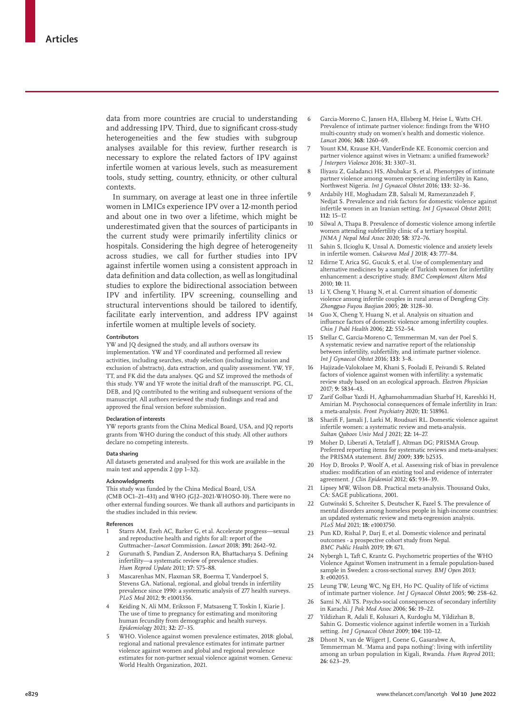data from more countries are crucial to understanding and addressing IPV. Third, due to significant cross-study heterogeneities and the few studies with subgroup analyses available for this review, further research is necessary to explore the related factors of IPV against infertile women at various levels, such as measurement tools, study setting, country, ethnicity, or other cultural contexts.

In summary, on average at least one in three infertile women in LMICs experience IPV over a 12-month period and about one in two over a lifetime, which might be underestimated given that the sources of participants in the current study were primarily infertility clinics or hospitals. Considering the high degree of heterogeneity across studies, we call for further studies into IPV against infertile women using a consistent approach in data definition and data collection, as well as longitudinal studies to explore the bidirectional association between IPV and infertility. IPV screening, counselling and structural interventions should be tailored to identify, facilitate early intervention, and address IPV against infertile women at multiple levels of society.

#### **Contributors**

YW and JQ designed the study, and all authors oversaw its implementation. YW and YF coordinated and performed all review activities, including searches, study selection (including inclusion and exclusion of abstracts), data extraction, and quality assessment. YW, YF, TT, and FK did the data analyses. QG and SZ improved the methods of this study. YW and YF wrote the initial draft of the manuscript. PG, CL, DEB, and JQ contributed to the writing and subsequent versions of the manuscript. All authors reviewed the study findings and read and approved the final version before submission.

#### **Declaration of interests**

YW reports grants from the China Medical Board, USA, and JQ reports grants from WHO during the conduct of this study. All other authors declare no competing interests.

#### **Data sharing**

All datasets generated and analysed for this work are available in the main text and appendix 2 (pp 1–32).

#### **Acknowledgments**

This study was funded by the China Medical Board, USA (CMB OC1–21–431) and WHO (GJ2–2021-WHOSO-10). There were no other external funding sources. We thank all authors and participants in the studies included in this review.

#### **References**

- 1 Starrs AM, Ezeh AC, Barker G, et al. Accelerate progress—sexual and reproductive health and rights for all: report of the Guttmacher–*Lancet* Commission. *Lancet* 2018; **391:** 2642–92.
- 2 Gurunath S, Pandian Z, Anderson RA, Bhattacharya S. Defining infertility—a systematic review of prevalence studies. *Hum Reprod Update* 2011; **17:** 575–88.
- 3 Mascarenhas MN, Flaxman SR, Boerma T, Vanderpoel S, Stevens GA. National, regional, and global trends in infertility prevalence since 1990: a systematic analysis of 277 health surveys. *PLoS Med* 2012; **9:** e1001356.
- 4 Keiding N, Ali MM, Eriksson F, Matsaseng T, Toskin I, Kiarie J. The use of time to pregnancy for estimating and monitoring human fecundity from demographic and health surveys. *Epidemiology* 2021; **32:** 27–35.
- 5 WHO. Violence against women prevalence estimates, 2018: global, regional and national prevalence estimates for intimate partner violence against women and global and regional prevalence estimates for non-partner sexual violence against women. Geneva: World Health Organization, 2021.
- 6 Garcia-Moreno C, Jansen HA, Ellsberg M, Heise L, Watts CH. Prevalence of intimate partner violence: findings from the WHO multi-country study on women's health and domestic violence. *Lancet* 2006; **368:** 1260–69.
- 7 Yount KM, Krause KH, VanderEnde KE. Economic coercion and partner violence against wives in Vietnam: a unified framework? *J Interpers Violence* 2016; **31:** 3307–31.
- 8 Iliyasu Z, Galadanci HS, Abubakar S, et al. Phenotypes of intimate partner violence among women experiencing infertility in Kano, Northwest Nigeria. *Int J Gynaecol Obstet* 2016; **133:** 32–36.
- 9 Ardabily HE, Moghadam ZB, Salsali M, Ramezanzadeh F, Nedjat S. Prevalence and risk factors for domestic violence against infertile women in an Iranian setting. *Int J Gynaecol Obstet* 2011; **112:** 15–17.
- 10 Silwal A, Thapa B. Prevalence of domestic violence among infertile women attending subfertility clinic of a tertiary hospital. *JNMA J Nepal Med Assoc* 2020; **58:** 372–76.
- 11 Sahin S, Ilcioglu K, Unsal A. Domestic violence and anxiety levels in infertile women. *Cukurova Med J* 2018; **43:** 777–84.
- 12 Edirne T, Arica SG, Gucuk S, et al. Use of complementary and alternative medicines by a sample of Turkish women for infertility enhancement: a descriptive study. *BMC Complement Altern Med* 2010; **10:** 11.
- 13 Li Y, Cheng Y, Huang N, et al. Current situation of domestic violence among infertile couples in rural areas of Dengfeng City. *Zhongguo Fuyou Baojian* 2005; **20:** 3128–30.
- 14 Guo X, Cheng Y, Huang N, et al. Analysis on situation and influence factors of domestic violence among infertility couples. *Chin J Publ Health* 2006; **22:** 552–54.
- 15 Stellar C, Garcia-Moreno C, Temmerman M, van der Poel S. A systematic review and narrative report of the relationship between infertility, subfertility, and intimate partner violence. *Int J Gynaecol Obstet* 2016; **133:** 3–8.
- 16 Hajizade-Valokolaee M, Khani S, Fooladi E, Peivandi S. Related factors of violence against women with infertility: a systematic review study based on an ecological approach. *Electron Physician* 2017; **9:** 5834–43.
- 17 Zarif Golbar Yazdi H, Aghamohammadian Sharbaf H, Kareshki H, Amirian M. Psychosocial consequences of female infertility in Iran: a meta-analysis. *Front Psychiatry* 2020; **11:** 518961.
- 18 Sharifi F, Jamali J, Larki M, Roudsari RL. Domestic violence against infertile women: a systematic review and meta-analysis. *Sultan Qaboos Univ Med J* 2021; **22:** 14–27.
- Moher D, Liberati A, Tetzlaff J, Altman DG; PRISMA Group. Preferred reporting items for systematic reviews and meta-analyses: the PRISMA statement. *BMJ* 2009; **339:** b2535.
- 20 Hoy D, Brooks P, Woolf A, et al. Assessing risk of bias in prevalence studies: modification of an existing tool and evidence of interrater agreement. *J Clin Epidemiol* 2012; **65:** 934–39.
- 21 Lipsey MW, Wilson DB. Practical meta-analysis. Thousand Oaks, CA: SAGE publications, 2001.
- 22 Gutwinski S, Schreiter S, Deutscher K, Fazel S. The prevalence of mental disorders among homeless people in high-income countries: an updated systematic review and meta-regression analysis. *PLoS Med* 2021; **18:** e1003750.
- Pun KD, Rishal P, Darj E, et al. Domestic violence and perinatal outcomes - a prospective cohort study from Nepal. *BMC Public Health* 2019; **19:** 671.
- 24 Nybergh L, Taft C, Krantz G. Psychometric properties of the WHO Violence Against Women instrument in a female population-based sample in Sweden: a cross-sectional survey. *BMJ Open* 2013; **3:** e002053.
- 25 Leung TW, Leung WC, Ng EH, Ho PC. Quality of life of victims of intimate partner violence. *Int J Gynaecol Obstet* 2005; **90:** 258–62.
- 26 Sami N, Ali TS. Psycho-social consequences of secondary infertility in Karachi. *J Pak Med Assoc* 2006; **56:** 19–22.
- 27 Yildizhan R, Adali E, Kolusari A, Kurdoglu M, Yildizhan B, Sahin G. Domestic violence against infertile women in a Turkish setting. *Int J Gynaecol Obstet* 2009; **104:** 110–12.
- 28 Dhont N, van de Wijgert J, Coene G, Gasarabwe A, Temmerman M. 'Mama and papa nothing': living with infertility among an urban population in Kigali, Rwanda. *Hum Reprod* 2011; **26:** 623–29.